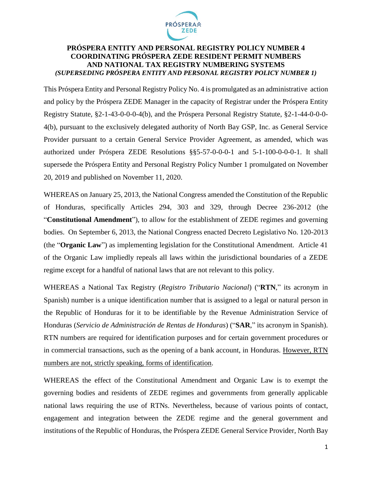

### **PRÓSPERA ENTITY AND PERSONAL REGISTRY POLICY NUMBER 4 COORDINATING PRÓSPERA ZEDE RESIDENT PERMIT NUMBERS AND NATIONAL TAX REGISTRY NUMBERING SYSTEMS** *(SUPERSEDING PRÓSPERA ENTITY AND PERSONAL REGISTRY POLICY NUMBER 1)*

This Próspera Entity and Personal Registry Policy No. 4 is promulgated as an administrative action and policy by the Próspera ZEDE Manager in the capacity of Registrar under the Próspera Entity Registry Statute, §2-1-43-0-0-0-4(b), and the Próspera Personal Registry Statute, §2-1-44-0-0-0- 4(b), pursuant to the exclusively delegated authority of North Bay GSP, Inc. as General Service Provider pursuant to a certain General Service Provider Agreement, as amended, which was authorized under Próspera ZEDE Resolutions §§5-57-0-0-0-1 and 5-1-100-0-0-0-1. It shall supersede the Próspera Entity and Personal Registry Policy Number 1 promulgated on November 20, 2019 and published on November 11, 2020.

WHEREAS on January 25, 2013, the National Congress amended the Constitution of the Republic of Honduras, specifically Articles 294, 303 and 329, through Decree 236-2012 (the "**Constitutional Amendment**"), to allow for the establishment of ZEDE regimes and governing bodies. On September 6, 2013, the National Congress enacted Decreto Legislativo No. 120-2013 (the "**Organic Law**") as implementing legislation for the Constitutional Amendment. Article 41 of the Organic Law impliedly repeals all laws within the jurisdictional boundaries of a ZEDE regime except for a handful of national laws that are not relevant to this policy.

WHEREAS a National Tax Registry (*Registro Tributario Nacional*) ("**RTN**," its acronym in Spanish) number is a unique identification number that is assigned to a legal or natural person in the Republic of Honduras for it to be identifiable by the Revenue Administration Service of Honduras (*Servicio de Administración de Rentas de Honduras*) ("**SAR**," its acronym in Spanish). RTN numbers are required for identification purposes and for certain government procedures or in commercial transactions, such as the opening of a bank account, in Honduras. However, RTN numbers are not, strictly speaking, forms of identification.

WHEREAS the effect of the Constitutional Amendment and Organic Law is to exempt the governing bodies and residents of ZEDE regimes and governments from generally applicable national laws requiring the use of RTNs. Nevertheless, because of various points of contact, engagement and integration between the ZEDE regime and the general government and institutions of the Republic of Honduras, the Próspera ZEDE General Service Provider, North Bay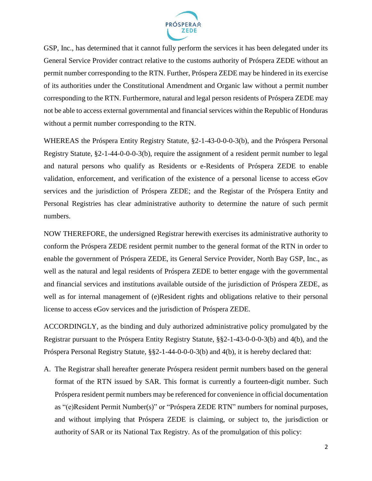

GSP, Inc., has determined that it cannot fully perform the services it has been delegated under its General Service Provider contract relative to the customs authority of Próspera ZEDE without an permit number corresponding to the RTN. Further, Próspera ZEDE may be hindered in its exercise of its authorities under the Constitutional Amendment and Organic law without a permit number corresponding to the RTN. Furthermore, natural and legal person residents of Próspera ZEDE may not be able to access external governmental and financial services within the Republic of Honduras without a permit number corresponding to the RTN.

WHEREAS the Próspera Entity Registry Statute, §2-1-43-0-0-0-3(b), and the Próspera Personal Registry Statute, §2-1-44-0-0-0-3(b), require the assignment of a resident permit number to legal and natural persons who qualify as Residents or e-Residents of Próspera ZEDE to enable validation, enforcement, and verification of the existence of a personal license to access eGov services and the jurisdiction of Próspera ZEDE; and the Registar of the Próspera Entity and Personal Registries has clear administrative authority to determine the nature of such permit numbers.

NOW THEREFORE, the undersigned Registrar herewith exercises its administrative authority to conform the Próspera ZEDE resident permit number to the general format of the RTN in order to enable the government of Próspera ZEDE, its General Service Provider, North Bay GSP, Inc., as well as the natural and legal residents of Próspera ZEDE to better engage with the governmental and financial services and institutions available outside of the jurisdiction of Próspera ZEDE, as well as for internal management of (e)Resident rights and obligations relative to their personal license to access eGov services and the jurisdiction of Próspera ZEDE.

ACCORDINGLY, as the binding and duly authorized administrative policy promulgated by the Registrar pursuant to the Próspera Entity Registry Statute, §§2-1-43-0-0-0-3(b) and 4(b), and the Próspera Personal Registry Statute, §§2-1-44-0-0-0-3(b) and 4(b), it is hereby declared that:

A. The Registrar shall hereafter generate Próspera resident permit numbers based on the general format of the RTN issued by SAR. This format is currently a fourteen-digit number. Such Próspera resident permit numbers may be referenced for convenience in official documentation as "(e)Resident Permit Number(s)" or "Próspera ZEDE RTN" numbers for nominal purposes, and without implying that Próspera ZEDE is claiming, or subject to, the jurisdiction or authority of SAR or its National Tax Registry. As of the promulgation of this policy: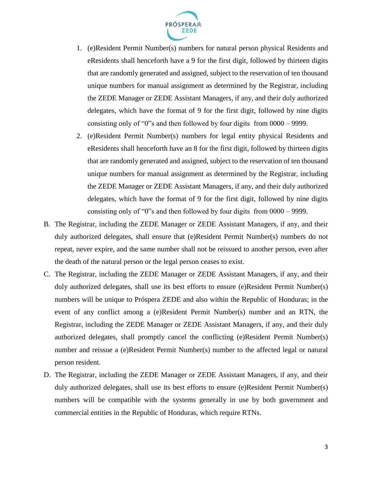

- 1. (e)Resident Permit Number(s) numbers for natural person physical Residents and eResidents shall henceforth have a 9 for the first digit, followed by thirteen digits that are randomly generated and assigned, subject to the reservation of ten thousand unique numbers for manual assignment as determined by the Registrar, including the ZEDE Manager or ZEDE Assistant Managers, if any, and their duly authorized delegates, which have the format of 9 for the first digit, followed by nine digits consisting only of "0"s and then followed by four digits from 0000 – 9999.
- 2. (e)Resident Permit Number(s) numbers for legal entity physical Residents and eResidents shall henceforth have an 8 for the first digit, followed by thirteen digits that are randomly generated and assigned, subject to the reservation of ten thousand unique numbers for manual assignment as determined by the Registrar, including the ZEDE Manager or ZEDE Assistant Managers, if any, and their duly authorized delegates, which have the format of 9 for the first digit, followed by nine digits consisting only of "0"s and then followed by four digits from 0000 – 9999.
- B. The Registrar, including the ZEDE Manager or ZEDE Assistant Managers, if any, and their duly authorized delegates, shall ensure that (e)Resident Permit Number(s) numbers do not repeat, never expire, and the same number shall not be reissued to another person, even after the death of the natural person or the legal person ceases to exist.
- C. The Registrar, including the ZEDE Manager or ZEDE Assistant Managers, if any, and their duly authorized delegates, shall use its best efforts to ensure (e)Resident Permit Number(s) numbers will be unique to Próspera ZEDE and also within the Republic of Honduras; in the event of any conflict among a (e)Resident Permit Number(s) number and an RTN, the Registrar, including the ZEDE Manager or ZEDE Assistant Managers, if any, and their duly authorized delegates, shall promptly cancel the conflicting (e)Resident Permit Number(s) number and reissue a (e)Resident Permit Number(s) number to the affected legal or natural person resident.
- D. The Registrar, including the ZEDE Manager or ZEDE Assistant Managers, if any, and their duly authorized delegates, shall use its best efforts to ensure (e)Resident Permit Number(s) numbers will be compatible with the systems generally in use by both government and commercial entities in the Republic of Honduras, which require RTNs.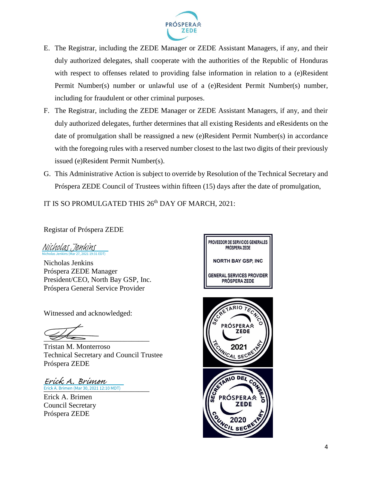

- E. The Registrar, including the ZEDE Manager or ZEDE Assistant Managers, if any, and their duly authorized delegates, shall cooperate with the authorities of the Republic of Honduras with respect to offenses related to providing false information in relation to a (e)Resident Permit Number(s) number or unlawful use of a (e)Resident Permit Number(s) number, including for fraudulent or other criminal purposes.
- F. The Registrar, including the ZEDE Manager or ZEDE Assistant Managers, if any, and their duly authorized delegates, further determines that all existing Residents and eResidents on the date of promulgation shall be reassigned a new (e)Resident Permit Number(s) in accordance with the foregoing rules with a reserved number closest to the last two digits of their previously issued (e)Resident Permit Number(s).
- G. This Administrative Action is subject to override by Resolution of the Technical Secretary and Próspera ZEDE Council of Trustees within fifteen (15) days after the date of promulgation,

IT IS SO PROMULGATED THIS 26<sup>th</sup> DAY OF MARCH, 2021:

Registar of Próspera ZEDE

Nicholas Jenkins (Mar 27, 2021 19:31 EDT) [Nicholas Jenkins](https://na3.documents.adobe.com/verifier?tx=CBJCHBCAABAAodgWFZJ6AVCeaLkayTwwCurfgUZf2Erb)

Nicholas Jenkins Próspera ZEDE Manager President/CEO, North Bay GSP, Inc. Próspera General Service Provider

Witnessed and acknowledged:

 $\overline{\mathscr{L}}$ 

Tristan M. Monterroso Technical Secretary and Council Trustee Próspera ZEDE

Erick A. Brimen (Mar 30, 2021 12:10 MDT) Erick A. Brimen

Erick A. Brimen Council Secretary Próspera ZEDE



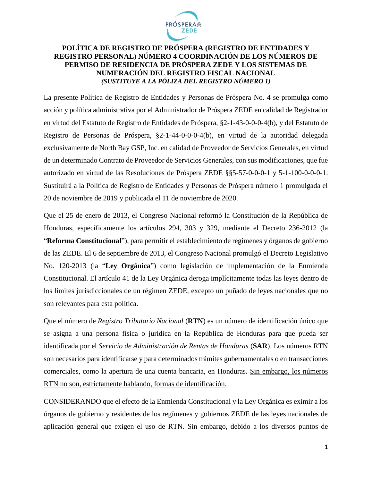

### **POLÍTICA DE REGISTRO DE PRÓSPERA (REGISTRO DE ENTIDADES Y REGISTRO PERSONAL) NÚMERO 4 COORDINACIÓN DE LOS NÚMEROS DE PERMISO DE RESIDENCIA DE PRÓSPERA ZEDE Y LOS SISTEMAS DE NUMERACIÓN DEL REGISTRO FISCAL NACIONAL**  *(SUSTITUYE A LA PÓLIZA DEL REGISTRO NÚMERO 1)*

La presente Política de Registro de Entidades y Personas de Próspera No. 4 se promulga como acción y política administrativa por el Administrador de Próspera ZEDE en calidad de Registrador en virtud del Estatuto de Registro de Entidades de Próspera, §2-1-43-0-0-0-4(b), y del Estatuto de Registro de Personas de Próspera, §2-1-44-0-0-0-4(b), en virtud de la autoridad delegada exclusivamente de North Bay GSP, Inc. en calidad de Proveedor de Servicios Generales, en virtud de un determinado Contrato de Proveedor de Servicios Generales, con sus modificaciones, que fue autorizado en virtud de las Resoluciones de Próspera ZEDE §§5-57-0-0-0-1 y 5-1-100-0-0-0-1. Sustituirá a la Política de Registro de Entidades y Personas de Próspera número 1 promulgada el 20 de noviembre de 2019 y publicada el 11 de noviembre de 2020.

Que el 25 de enero de 2013, el Congreso Nacional reformó la Constitución de la República de Honduras, específicamente los artículos 294, 303 y 329, mediante el Decreto 236-2012 (la "**Reforma Constitucional**"), para permitir el establecimiento de regímenes y órganos de gobierno de las ZEDE. El 6 de septiembre de 2013, el Congreso Nacional promulgó el Decreto Legislativo No. 120-2013 (la "**Ley Orgánica**") como legislación de implementación de la Enmienda Constitucional. El artículo 41 de la Ley Orgánica deroga implícitamente todas las leyes dentro de los límites jurisdiccionales de un régimen ZEDE, excepto un puñado de leyes nacionales que no son relevantes para esta política.

Que el número de *Registro Tributario Nacional* (**RTN**) es un número de identificación único que se asigna a una persona física o jurídica en la República de Honduras para que pueda ser identificada por el *Servicio de Administración de Rentas de Honduras* (**SAR**). Los números RTN son necesarios para identificarse y para determinados trámites gubernamentales o en transacciones comerciales, como la apertura de una cuenta bancaria, en Honduras. Sin embargo, los números RTN no son, estrictamente hablando, formas de identificación.

CONSIDERANDO que el efecto de la Enmienda Constitucional y la Ley Orgánica es eximir a los órganos de gobierno y residentes de los regímenes y gobiernos ZEDE de las leyes nacionales de aplicación general que exigen el uso de RTN. Sin embargo, debido a los diversos puntos de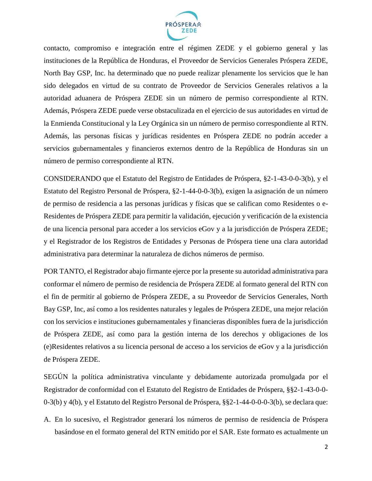

contacto, compromiso e integración entre el régimen ZEDE y el gobierno general y las instituciones de la República de Honduras, el Proveedor de Servicios Generales Próspera ZEDE, North Bay GSP, Inc. ha determinado que no puede realizar plenamente los servicios que le han sido delegados en virtud de su contrato de Proveedor de Servicios Generales relativos a la autoridad aduanera de Próspera ZEDE sin un número de permiso correspondiente al RTN. Además, Próspera ZEDE puede verse obstaculizada en el ejercicio de sus autoridades en virtud de la Enmienda Constitucional y la Ley Orgánica sin un número de permiso correspondiente al RTN. Además, las personas físicas y jurídicas residentes en Próspera ZEDE no podrán acceder a servicios gubernamentales y financieros externos dentro de la República de Honduras sin un número de permiso correspondiente al RTN.

CONSIDERANDO que el Estatuto del Registro de Entidades de Próspera, §2-1-43-0-0-3(b), y el Estatuto del Registro Personal de Próspera, §2-1-44-0-0-3(b), exigen la asignación de un número de permiso de residencia a las personas jurídicas y físicas que se califican como Residentes o e-Residentes de Próspera ZEDE para permitir la validación, ejecución y verificación de la existencia de una licencia personal para acceder a los servicios eGov y a la jurisdicción de Próspera ZEDE; y el Registrador de los Registros de Entidades y Personas de Próspera tiene una clara autoridad administrativa para determinar la naturaleza de dichos números de permiso.

POR TANTO, el Registrador abajo firmante ejerce por la presente su autoridad administrativa para conformar el número de permiso de residencia de Próspera ZEDE al formato general del RTN con el fin de permitir al gobierno de Próspera ZEDE, a su Proveedor de Servicios Generales, North Bay GSP, Inc, así como a los residentes naturales y legales de Próspera ZEDE, una mejor relación con los servicios e instituciones gubernamentales y financieras disponibles fuera de la jurisdicción de Próspera ZEDE, así como para la gestión interna de los derechos y obligaciones de los (e)Residentes relativos a su licencia personal de acceso a los servicios de eGov y a la jurisdicción de Próspera ZEDE.

SEGÚN la política administrativa vinculante y debidamente autorizada promulgada por el Registrador de conformidad con el Estatuto del Registro de Entidades de Próspera, §§2-1-43-0-0- 0-3(b) y 4(b), y el Estatuto del Registro Personal de Próspera, §§2-1-44-0-0-0-3(b), se declara que:

A. En lo sucesivo, el Registrador generará los números de permiso de residencia de Próspera basándose en el formato general del RTN emitido por el SAR. Este formato es actualmente un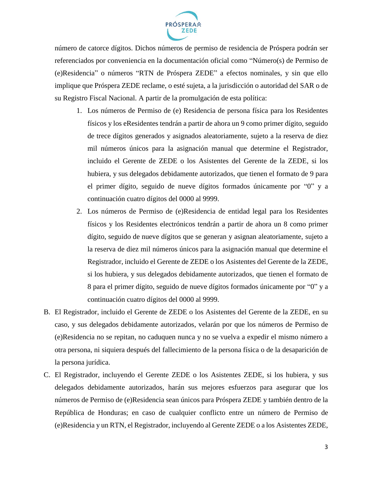

número de catorce dígitos. Dichos números de permiso de residencia de Próspera podrán ser referenciados por conveniencia en la documentación oficial como "Número(s) de Permiso de (e)Residencia" o números "RTN de Próspera ZEDE" a efectos nominales, y sin que ello implique que Próspera ZEDE reclame, o esté sujeta, a la jurisdicción o autoridad del SAR o de su Registro Fiscal Nacional. A partir de la promulgación de esta política:

- 1. Los números de Permiso de (e) Residencia de persona física para los Residentes físicos y los eResidentes tendrán a partir de ahora un 9 como primer dígito, seguido de trece dígitos generados y asignados aleatoriamente, sujeto a la reserva de diez mil números únicos para la asignación manual que determine el Registrador, incluido el Gerente de ZEDE o los Asistentes del Gerente de la ZEDE, si los hubiera, y sus delegados debidamente autorizados, que tienen el formato de 9 para el primer dígito, seguido de nueve dígitos formados únicamente por "0" y a continuación cuatro dígitos del 0000 al 9999.
- 2. Los números de Permiso de (e)Residencia de entidad legal para los Residentes físicos y los Residentes electrónicos tendrán a partir de ahora un 8 como primer dígito, seguido de nueve dígitos que se generan y asignan aleatoriamente, sujeto a la reserva de diez mil números únicos para la asignación manual que determine el Registrador, incluido el Gerente de ZEDE o los Asistentes del Gerente de la ZEDE, si los hubiera, y sus delegados debidamente autorizados, que tienen el formato de 8 para el primer dígito, seguido de nueve dígitos formados únicamente por "0" y a continuación cuatro dígitos del 0000 al 9999.
- B. El Registrador, incluido el Gerente de ZEDE o los Asistentes del Gerente de la ZEDE, en su caso, y sus delegados debidamente autorizados, velarán por que los números de Permiso de (e)Residencia no se repitan, no caduquen nunca y no se vuelva a expedir el mismo número a otra persona, ni siquiera después del fallecimiento de la persona física o de la desaparición de la persona jurídica.
- C. El Registrador, incluyendo el Gerente ZEDE o los Asistentes ZEDE, si los hubiera, y sus delegados debidamente autorizados, harán sus mejores esfuerzos para asegurar que los números de Permiso de (e)Residencia sean únicos para Próspera ZEDE y también dentro de la República de Honduras; en caso de cualquier conflicto entre un número de Permiso de (e)Residencia y un RTN, el Registrador, incluyendo al Gerente ZEDE o a los Asistentes ZEDE,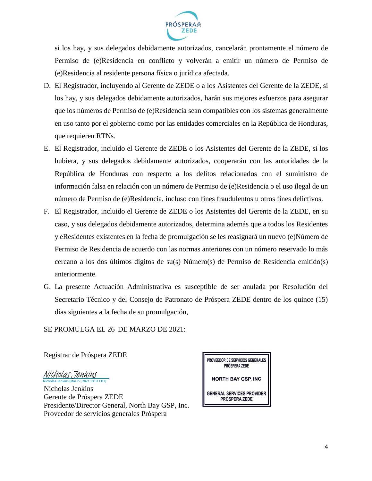

si los hay, y sus delegados debidamente autorizados, cancelarán prontamente el número de Permiso de (e)Residencia en conflicto y volverán a emitir un número de Permiso de (e)Residencia al residente persona física o jurídica afectada.

- D. El Registrador, incluyendo al Gerente de ZEDE o a los Asistentes del Gerente de la ZEDE, si los hay, y sus delegados debidamente autorizados, harán sus mejores esfuerzos para asegurar que los números de Permiso de (e)Residencia sean compatibles con los sistemas generalmente en uso tanto por el gobierno como por las entidades comerciales en la República de Honduras, que requieren RTNs.
- E. El Registrador, incluido el Gerente de ZEDE o los Asistentes del Gerente de la ZEDE, si los hubiera, y sus delegados debidamente autorizados, cooperarán con las autoridades de la República de Honduras con respecto a los delitos relacionados con el suministro de información falsa en relación con un número de Permiso de (e)Residencia o el uso ilegal de un número de Permiso de (e)Residencia, incluso con fines fraudulentos u otros fines delictivos.
- F. El Registrador, incluido el Gerente de ZEDE o los Asistentes del Gerente de la ZEDE, en su caso, y sus delegados debidamente autorizados, determina además que a todos los Residentes y eResidentes existentes en la fecha de promulgación se les reasignará un nuevo (e)Número de Permiso de Residencia de acuerdo con las normas anteriores con un número reservado lo más cercano a los dos últimos dígitos de su(s) Número(s) de Permiso de Residencia emitido(s) anteriormente.
- G. La presente Actuación Administrativa es susceptible de ser anulada por Resolución del Secretario Técnico y del Consejo de Patronato de Próspera ZEDE dentro de los quince (15) días siguientes a la fecha de su promulgación,

SE PROMULGA EL 26 DE MARZO DE 2021:

Registrar de Próspera ZEDE

Nicholas Jenkins (Mar 27, 2021 19:31 EDT) [Nicholas Jenkins](https://na3.documents.adobe.com/verifier?tx=CBJCHBCAABAAodgWFZJ6AVCeaLkayTwwCurfgUZf2Erb)

Nicholas Jenkins Gerente de Próspera ZEDE Presidente/Director General, North Bay GSP, Inc. Proveedor de servicios generales Próspera

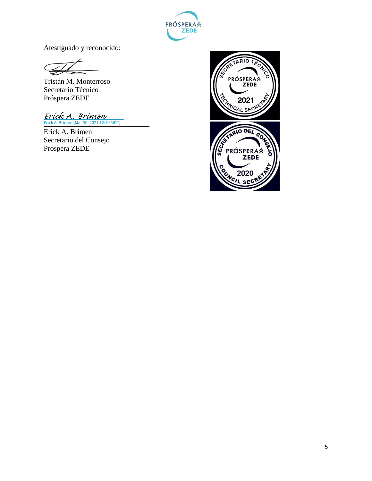

Atestiguado y reconocido:

 $\overline{\mathscr{L}}$ 

Tristán M. Monterroso Secretario Técnico Próspera ZEDE

Erick A. Brimen (Mar 30, 2021 12:10 MDT) Erick A. Brimen

Erick A. Brimen Secretario del Consejo Próspera ZEDE

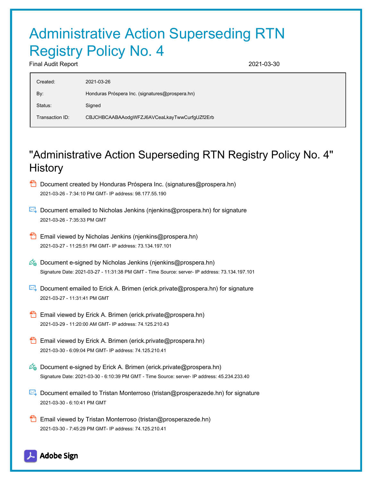# Administrative Action Superseding RTN Registry Policy No. 4

Final Audit Report 2021-03-30

| Created:        | 2021-03-26                                      |
|-----------------|-------------------------------------------------|
| By:             | Honduras Próspera Inc. (signatures@prospera.hn) |
| Status:         | Signed                                          |
| Transaction ID: | CBJCHBCAABAAodgWFZJ6AVCeaLkayTwwCurfgUZf2Erb    |

## "Administrative Action Superseding RTN Registry Policy No. 4" **History**

- **D** Document created by Honduras Próspera Inc. (signatures@prospera.hn) 2021-03-26 - 7:34:10 PM GMT- IP address: 98.177.55.190
- Document emailed to Nicholas Jenkins (njenkins@prospera.hn) for signature 2021-03-26 - 7:35:33 PM GMT
- **B** Email viewed by Nicholas Jenkins (njenkins@prospera.hn) 2021-03-27 - 11:25:51 PM GMT- IP address: 73.134.197.101
- $\mathscr{D}_{\bullet}$  Document e-signed by Nicholas Jenkins (njenkins@prospera.hn) Signature Date: 2021-03-27 - 11:31:38 PM GMT - Time Source: server- IP address: 73.134.197.101
- Document emailed to Erick A. Brimen (erick.private@prospera.hn) for signature 2021-03-27 - 11:31:41 PM GMT
- **Email viewed by Erick A. Brimen (erick.private@prospera.hn)** 2021-03-29 - 11:20:00 AM GMT- IP address: 74.125.210.43
- Email viewed by Erick A. Brimen (erick.private@prospera.hn) 2021-03-30 - 6:09:04 PM GMT- IP address: 74.125.210.41
- $\mathscr{O}_\mathbf{G}$  Document e-signed by Erick A. Brimen (erick.private@prospera.hn) Signature Date: 2021-03-30 - 6:10:39 PM GMT - Time Source: server- IP address: 45.234.233.40
- Document emailed to Tristan Monterroso (tristan@prosperazede.hn) for signature 2021-03-30 - 6:10:41 PM GMT
- **Email viewed by Tristan Monterroso (tristan@prosperazede.hn)** 2021-03-30 - 7:45:29 PM GMT- IP address: 74.125.210.41

### **Adobe Sign**